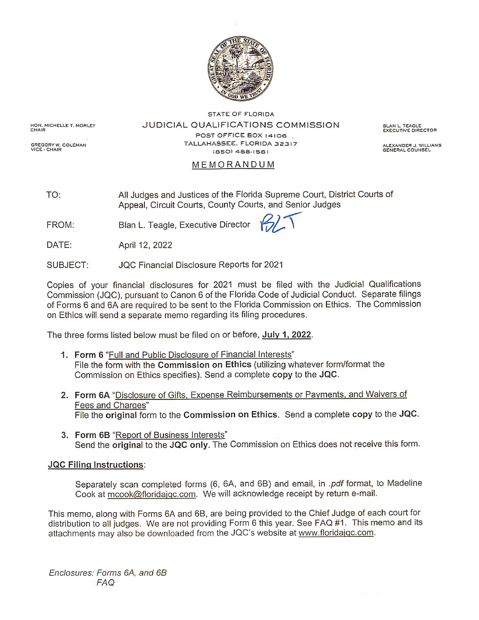

HON, MICHELLE T. MORLEY<br>CHAIR

GREGORY W. COLEMAN<br>VICE - CHAIR

JUDICIAL QUALIFICATIONS COMMISSION POST OFFICE BOX 14106 TALLAHASSEE, FLORIDA 32317 (850) 488-1581

**STATE OF FLORIDA** 

BLAN L. TEAGLE<br>EXECUTIVE DIRECTOR

ALEXANDER J. WILLIAMS<br>GENERAL COUNSEL

# MEMORANDUM

All Judges and Justices of the Florida Supreme Court, District Courts of TO: Appeal, Circuit Courts, County Courts, and Senior Judges

Blan L. Teagle, Executive Director  $\mathcal{G}$ FROM:

DATE: April 12, 2022

JQC Financial Disclosure Reports for 2021 SUBJECT:

Copies of your financial disclosures for 2021 must be filed with the Judicial Qualifications Commission (JQC), pursuant to Canon 6 of the Florida Code of Judicial Conduct. Separate filings of Forms 6 and 6A are required to be sent to the Florida Commission on Ethics. The Commission on Ethics will send a separate memo regarding its filing procedures.

The three forms listed below must be filed on or before, July 1, 2022.

- 1. Form 6 "Full and Public Disclosure of Financial Interests" File the form with the Commission on Ethics (utilizing whatever form/format the Commission on Ethics specifies). Send a complete copy to the JQC.
- 2. Form 6A "Disclosure of Gifts, Expense Reimbursements or Payments, and Waivers of Fees and Charges" File the original form to the Commission on Ethics. Send a complete copy to the JQC.
- 3. Form 6B "Report of Business Interests" Send the original to the JQC only. The Commission on Ethics does not receive this form.

## **JQC Filing Instructions:**

Separately scan completed forms (6, 6A, and 6B) and email, in .pdf format, to Madeline Cook at mcook@floridajqc.com. We will acknowledge receipt by return e-mail.

This memo, along with Forms 6A and 6B, are being provided to the Chief Judge of each court for distribution to all judges. We are not providing Form 6 this year. See FAQ #1. This memo and its attachments may also be downloaded from the JQC's website at www.floridajqc.com.

Enclosures: Forms 6A, and 6B **FAQ**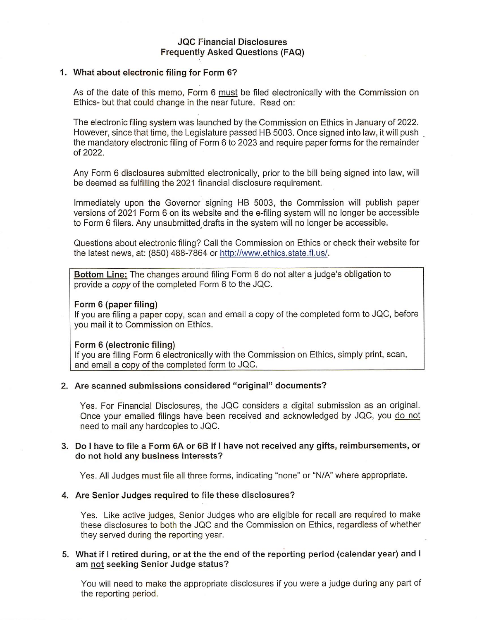## **JQC Financial Disclosures Frequently Asked Questions (FAQ)**

### 1. What about electronic filing for Form 6?

As of the date of this memo, Form 6 must be filed electronically with the Commission on Ethics- but that could change in the near future. Read on:

The electronic filing system was launched by the Commission on Ethics in January of 2022. However, since that time, the Legislature passed HB 5003. Once signed into law, it will push the mandatory electronic filing of Form 6 to 2023 and require paper forms for the remainder of 2022.

Any Form 6 disclosures submitted electronically, prior to the bill being signed into law, will be deemed as fulfilling the 2021 financial disclosure requirement.

Immediately upon the Governor signing HB 5003, the Commission will publish paper versions of 2021 Form 6 on its website and the e-filing system will no longer be accessible to Form 6 filers. Any unsubmitted drafts in the system will no longer be accessible.

Questions about electronic filing? Call the Commission on Ethics or check their website for the latest news, at: (850) 488-7864 or http://www.ethics.state.fl.us/.

Bottom Line: The changes around filing Form 6 do not alter a judge's obligation to provide a copy of the completed Form 6 to the JQC.

#### Form 6 (paper filing)

If you are filing a paper copy, scan and email a copy of the completed form to JQC, before you mail it to Commission on Ethics.

#### Form 6 (electronic filing)

If you are filing Form 6 electronically with the Commission on Ethics, simply print, scan, and email a copy of the completed form to JQC.

### 2. Are scanned submissions considered "original" documents?

Yes. For Financial Disclosures, the JQC considers a digital submission as an original. Once your emailed filings have been received and acknowledged by JQC, you do not need to mail any hardcopies to JQC.

## 3. Do I have to file a Form 6A or 6B if I have not received any gifts, reimbursements, or do not hold any business interests?

Yes. All Judges must file all three forms, indicating "none" or "N/A" where appropriate.

#### 4. Are Senior Judges required to file these disclosures?

Yes. Like active judges, Senior Judges who are eligible for recall are required to make these disclosures to both the JQC and the Commission on Ethics, regardless of whether they served during the reporting year.

## 5. What if I retired during, or at the the end of the reporting period (calendar year) and I am not seeking Senior Judge status?

You will need to make the appropriate disclosures if you were a judge during any part of the reporting period.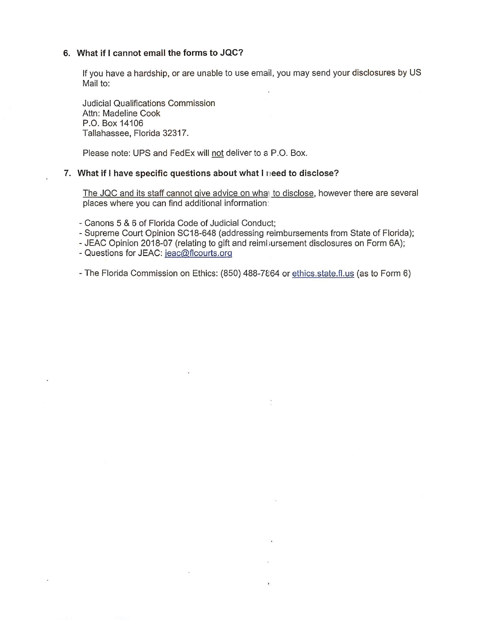### 6. What if I cannot email the forms to JQC?

If you have a hardship, or are unable to use email, you may send your disclosures by US Mail to:

**Judicial Qualifications Commission** Attn: Madeline Cook P.O. Box 14106 Tallahassee, Florida 32317.

Please note: UPS and FedEx will not deliver to a P.O. Box.

### 7. What if I have specific questions about what I need to disclose?

The JQC and its staff cannot give advice on what to disclose, however there are several places where you can find additional information:

- Canons 5 & 6 of Florida Code of Judicial Conduct:

 $\widetilde{\mathbf{a}}$ 

Ÿ.

 $\ddot{\phantom{0}}$ 

- Supreme Court Opinion SC18-648 (addressing reimbursements from State of Florida);
- JEAC Opinion 2018-07 (relating to gift and reimbursement disclosures on Form 6A);
- Questions for JEAC: jeac@flcourts.org
- The Florida Commission on Ethics: (850) 488-7864 or ethics.state.fl.us (as to Form 6)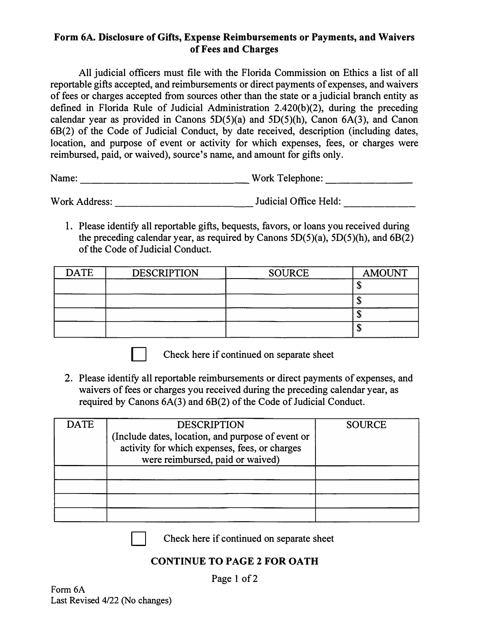# **Form 6A. Disclosure of Gifts, Expense Reimbursements or Payments, and Waivers of Fees and Charges**

All judicial officers must file with the Florida Commission on Ethics a list of all reportable gifts accepted, and reimbursements or direct payments of expenses, and waivers of fees or charges accepted from sources other than the state or a judicial branch entity as defined in Florida Rule of Judicial Administration 2.420(b)(2), during the preceding calendar year as provided in Canons  $5D(5)(a)$  and  $5D(5)(h)$ , Canon  $6A(3)$ , and Canon 68(2) of the Code of Judicial Conduct, by date received, description (including dates, location, and purpose of event or activity for which expenses, fees, or charges were reimbursed, paid, or waived), source's name, and amount for gifts only.

Name: \_\_\_\_\_\_\_\_\_\_\_\_\_\_ Work Telephone: \_\_\_\_\_\_ \_

Work Address: Judicial Office Held:

1. Please identify all reportable gifts, bequests, favors, or loans you received during the preceding calendar year, as required by Canons  $5D(5)(a)$ ,  $5D(5)(h)$ , and  $6B(2)$ of the Code of Judicial Conduct.

| <b>DATE</b> | <b>DESCRIPTION</b> | <b>SOURCE</b> | <b>AMOUNT</b> |
|-------------|--------------------|---------------|---------------|
|             |                    |               | لت            |
|             |                    |               | ۰D            |
|             |                    |               | ٨D            |
|             |                    |               | Φ             |

Check here if continued on separate sheet

2. Please identify all reportable reimbursements or direct payments of expenses, and waivers of fees or charges you received during the preceding calendar year, as required by Canons 6A(3) and 68(2) of the Code of Judicial Conduct.

| DATE | <b>DESCRIPTION</b>                                | <b>SOURCE</b> |
|------|---------------------------------------------------|---------------|
|      | (Include dates, location, and purpose of event or |               |
|      | activity for which expenses, fees, or charges     |               |
|      | were reimbursed, paid or waived)                  |               |
|      |                                                   |               |
|      |                                                   |               |
|      |                                                   |               |
|      |                                                   |               |

Check here if continued on separate sheet

# **CONTINUE TO PAGE 2 FOR OATH**

Page 1 of 2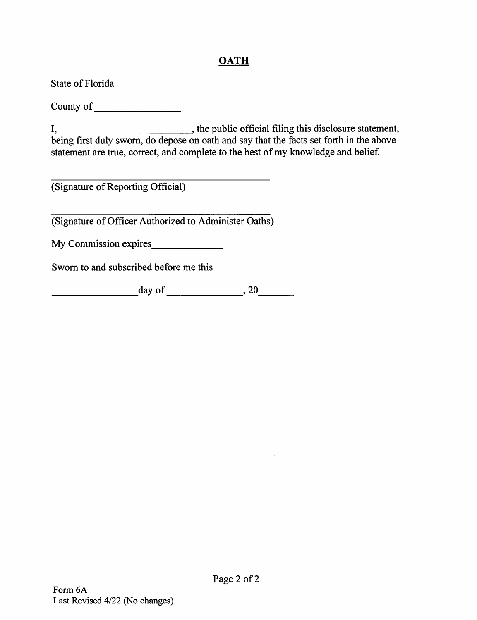# **OATH**

State of Florida

statement are true, correct, and complete to the best of my knowledge and belief.

(Signature of Reporting Official)

(Signature of Officer Authorized to Administer Oaths)

My Commission expires

Sworn to and subscribed before me this

 $day of$   $\qquad \qquad .20$